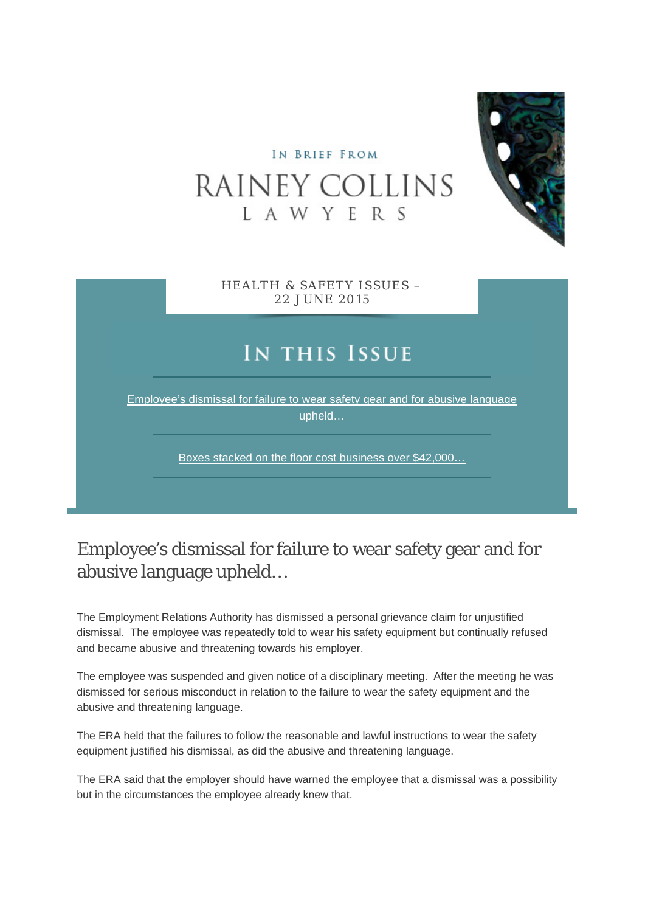#### IN BRIEF FROM

# RAINEY COLLINS L A W Y E R S



HEALTH & SAFETY ISSUES – 22 JUNE 2015

## IN THIS ISSUE

Employee's dismissal for failure to wear safety gear and for abusive language upheld…

Boxes stacked on the floor cost business over \$42,000…

#### Employee's dismissal for failure to wear safety gear and for abusive language upheld…

The Employment Relations Authority has dismissed a personal grievance claim for unjustified dismissal. The employee was repeatedly told to wear his safety equipment but continually refused and became abusive and threatening towards his employer.

The employee was suspended and given notice of a disciplinary meeting. After the meeting he was dismissed for serious misconduct in relation to the failure to wear the safety equipment and the abusive and threatening language.

The ERA held that the failures to follow the reasonable and lawful instructions to wear the safety equipment justified his dismissal, as did the abusive and threatening language.

The ERA said that the employer should have warned the employee that a dismissal was a possibility but in the circumstances the employee already knew that.